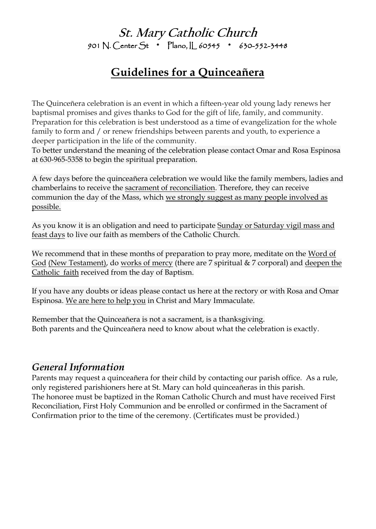**St. Mary Catholic Church** 901 N. Center St \* Plano, IL 60545 \* 630-552-3448

# **Guidelines for a Quinceañera**

The Quinceñera celebration is an event in which a fifteen-year old young lady renews her baptismal promises and gives thanks to God for the gift of life, family, and community. Preparation for this celebration is best understood as a time of evangelization for the whole family to form and / or renew friendships between parents and youth, to experience a deeper participation in the life of the community.

To better understand the meaning of the celebration please contact Omar and Rosa Espinosa at 630-965-5358 to begin the spiritual preparation.

A few days before the quinceañera celebration we would like the family members, ladies and chamberlains to receive the sacrament of reconciliation. Therefore, they can receive communion the day of the Mass, which we strongly suggest as many people involved as possible.

As you know it is an obligation and need to participate Sunday or Saturday vigil mass and feast days to live our faith as members of the Catholic Church.

We recommend that in these months of preparation to pray more, meditate on the Word of God (New Testament), do works of mercy (there are 7 spiritual & 7 corporal) and deepen the Catholic faith received from the day of Baptism.

If you have any doubts or ideas please contact us here at the rectory or with Rosa and Omar Espinosa. We are here to help you in Christ and Mary Immaculate.

Remember that the Quinceañera is not a sacrament, is a thanksgiving. Both parents and the Quinceañera need to know about what the celebration is exactly.

#### *General Information*

Parents may request a quinceañera for their child by contacting our parish office. As a rule, only registered parishioners here at St. Mary can hold quinceañeras in this parish. The honoree must be baptized in the Roman Catholic Church and must have received First Reconciliation, First Holy Communion and be enrolled or confirmed in the Sacrament of Confirmation prior to the time of the ceremony. (Certificates must be provided.)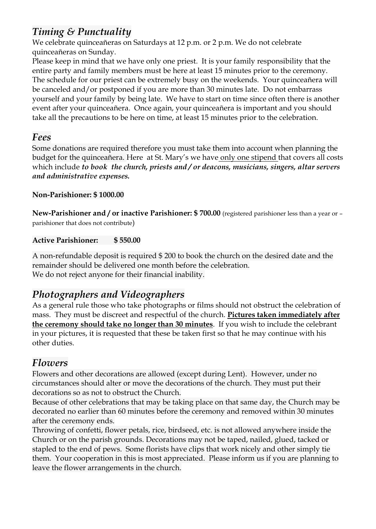# *Timing & Punctuality*

We celebrate quinceañeras on Saturdays at 12 p.m. or 2 p.m. We do not celebrate quinceañeras on Sunday.

Please keep in mind that we have only one priest. It is your family responsibility that the entire party and family members must be here at least 15 minutes prior to the ceremony. The schedule for our priest can be extremely busy on the weekends. Your quinceañera will be canceled and/or postponed if you are more than 30 minutes late. Do not embarrass yourself and your family by being late. We have to start on time since often there is another event after your quinceañera. Once again, your quinceañera is important and you should take all the precautions to be here on time, at least 15 minutes prior to the celebration.

#### *Fees*

Some donations are required therefore you must take them into account when planning the budget for the quinceañera. Here at St. Mary's we have only one stipend that covers all costs which include *to book the church, priests and / or deacons, musicians, singers, altar servers and administrative expenses.*

#### **Non-Parishioner: \$ 1000.00**

**New-Parishioner and / or inactive Parishioner: \$700.00** (registered parishioner less than a year or parishioner that does not contribute)

#### **Active Parishioner: \$ 550.00**

A non-refundable deposit is required \$ 200 to book the church on the desired date and the remainder should be delivered one month before the celebration. We do not reject anyone for their financial inability.

## *Photographers and Videographers*

As a general rule those who take photographs or films should not obstruct the celebration of mass. They must be discreet and respectful of the church. **Pictures taken immediately after the ceremony should take no longer than 30 minutes**. If you wish to include the celebrant in your pictures, it is requested that these be taken first so that he may continue with his other duties.

## *Flowers*

Flowers and other decorations are allowed (except during Lent). However, under no circumstances should alter or move the decorations of the church. They must put their decorations so as not to obstruct the Church.

Because of other celebrations that may be taking place on that same day, the Church may be decorated no earlier than 60 minutes before the ceremony and removed within 30 minutes after the ceremony ends.

Throwing of confetti, flower petals, rice, birdseed, etc. is not allowed anywhere inside the Church or on the parish grounds. Decorations may not be taped, nailed, glued, tacked or stapled to the end of pews. Some florists have clips that work nicely and other simply tie them. Your cooperation in this is most appreciated. Please inform us if you are planning to leave the flower arrangements in the church.